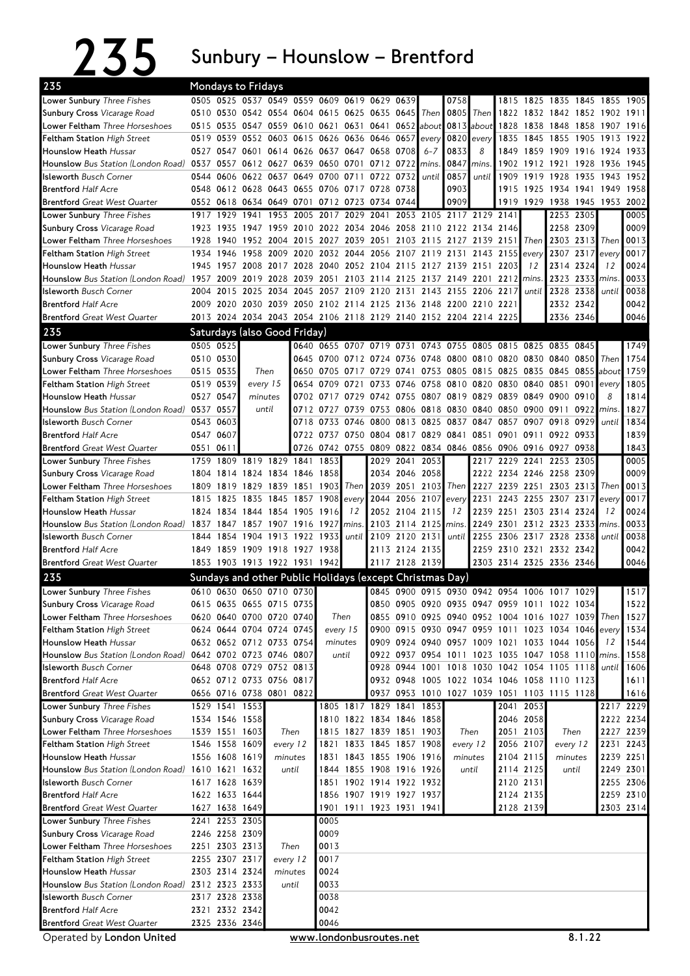## $235$  Sunbury – Hounslow – Brentford

| 235                                                                        | <b>Mondays to Fridays</b>          |                                  |                |                                    |           |              |                                                                                                                            |                     |                                  |         |                |                          |              |           |                                                    |                |                |              |
|----------------------------------------------------------------------------|------------------------------------|----------------------------------|----------------|------------------------------------|-----------|--------------|----------------------------------------------------------------------------------------------------------------------------|---------------------|----------------------------------|---------|----------------|--------------------------|--------------|-----------|----------------------------------------------------|----------------|----------------|--------------|
| Lower Sunbury Three Fishes                                                 |                                    |                                  |                |                                    |           |              | 0505 0525 0537 0549 0559 0609 0619 0629 0639                                                                               |                     |                                  |         | 0758           |                          | 1815         |           | 1825 1835 1845 1855                                |                |                | 1905         |
| <b>Sunbury Cross Vicarage Road</b>                                         |                                    |                                  |                |                                    |           |              | 0510 0530 0542 0554 0604 0615 0625 0635 0645                                                                               |                     |                                  | Then    | 0805           | Then                     | 1822         |           | 1832 1842 1852 1902 1911                           |                |                |              |
| Lower Feltham Three Horseshoes                                             | 0515                               |                                  |                | 0535 0547 0559 0610 0621           |           |              | 0631 0641 0652 about                                                                                                       |                     |                                  |         |                | 0813 about 1828          |              |           | 1838 1848 1858 1907 1916                           |                |                |              |
| <b>Feltham Station High Street</b>                                         |                                    |                                  |                |                                    |           |              | 0519 0539 0552 0603 0615 0626 0636 0646 0657                                                                               |                     |                                  | every   | 0820           | every                    | 1835         | 1845      | 1855 1905                                          |                | 1913           | 1922         |
| Hounslow Heath Hussar                                                      |                                    |                                  | 0527 0547 0601 |                                    | 0614 0626 |              | 0637 0647 0658 0708                                                                                                        |                     |                                  | $6 - 7$ | 0833           | 8                        | 1849         |           | 1859 1909 1916 1924 1933                           |                |                |              |
| Hounslow Bus Station (London Road)                                         | 0537 0557 0612 0627 0639 0650 0701 |                                  |                |                                    |           |              |                                                                                                                            | 0712 0722           |                                  | mins.   | 0847           | mins                     | 1902         |           | 1912 1921 1928                                     |                | 1936           | 1945         |
| <b>Isleworth Busch Corner</b>                                              |                                    |                                  |                | 0544 0606 0622 0637 0649 0700 0711 |           |              |                                                                                                                            | 0722 0732           |                                  | until   | 0857           | until                    | 1909         | 1919      | 1928 1935                                          |                | 1943           | 1952         |
| <b>Brentford Half Acre</b>                                                 | 0548                               |                                  |                | 0612 0628 0643 0655                |           |              | 0706 0717 0728 0738                                                                                                        |                     |                                  |         | 0903           |                          | 1915         |           | 1925 1934 1941 1949                                |                |                | 1958         |
| <b>Brentford</b> Great West Quarter                                        |                                    |                                  |                | 0552 0618 0634 0649 0701           |           |              | 0712 0723 0734 0744                                                                                                        |                     |                                  |         | 0909           |                          |              |           | 1919 1929 1938 1945 1953                           |                |                | 2002         |
| Lower Sunbury Three Fishes                                                 | 1917                               | 1929                             | 1941           | 1953                               | 2005      | 2017         | 2029 2041                                                                                                                  |                     |                                  |         |                | 2053 2105 2117 2129 2141 |              |           |                                                    | 2253 2305      |                | 0005         |
| <b>Sunbury Cross Vicarage Road</b><br>Lower Feltham Three Horseshoes       | 1923<br>1928                       | 1940                             |                |                                    |           |              | 1935 1947 1959 2010 2022 2034 2046 2058 2110 2122 2134 2146<br>1952 2004 2015 2027 2039 2051 2103 2115 2127 2139 2151 Then |                     |                                  |         |                |                          |              |           | 2258 2309<br>2303 2313                             |                | Then           | 0009<br>0013 |
| <b>Feltham Station High Street</b>                                         |                                    | 1934 1946                        |                | 1958 2009                          |           |              | 2020 2032 2044 2056 2107 2119 2131 2143                                                                                    |                     |                                  |         |                |                          | $2155$ every |           |                                                    | 2307 2317      | every          | 0017         |
| <b>Hounslow Heath Hussar</b>                                               | 1945                               | 1957                             |                | 2008 2017                          | 2028      |              | 2040 2052 2104 2115                                                                                                        |                     |                                  |         | 2127 2139 2151 |                          | 22031        | 12        |                                                    | 2314 2324      | 12             | 0024         |
| <b>Hounslow</b> Bus Station (London Road)                                  | 1957 2009                          |                                  |                | 2019 2028                          | 2039      | 2051         | 2103 2114 2125                                                                                                             |                     |                                  |         |                | 2137 2149 2201 2212      |              | mins.     |                                                    | 2323 2333 mins |                | 0033         |
| <b>Isleworth Busch Corner</b>                                              | 2004                               | 2015                             |                | 2025 2034                          | 2045      |              | 2057 2109 2120 2131                                                                                                        |                     |                                  |         |                | 2143 2155 2206 2217      |              | until     |                                                    | 2328 2338      | until          | 0038         |
| <b>Brentford Half Acre</b>                                                 |                                    |                                  |                |                                    |           |              | 2009 2020 2030 2039 2050 2102 2114 2125 2136 2148 2200 2210 2221                                                           |                     |                                  |         |                |                          |              |           |                                                    | 2332 2342      |                | 0042         |
| <b>Brentford</b> Great West Quarter                                        |                                    |                                  |                |                                    |           |              | 2013 2024 2034 2043 2054 2106 2118 2129 2140 2152 2204 2214 2225                                                           |                     |                                  |         |                |                          |              |           | 2336 2346                                          |                |                | 0046         |
| 235                                                                        |                                    |                                  |                | Saturdays (also Good Friday)       |           |              |                                                                                                                            |                     |                                  |         |                |                          |              |           |                                                    |                |                |              |
| Lower Sunbury Three Fishes                                                 |                                    | 0505 0525                        |                |                                    |           |              | 0640 0655 0707 0719 0731                                                                                                   |                     |                                  |         |                |                          |              |           | 0743 0755 0805 0815 0825 0835 0845                 |                |                | 1749         |
| Sunbury Cross Vicarage Road                                                |                                    | 0510 0530                        |                |                                    |           |              | 0645 0700 0712 0724 0736                                                                                                   |                     |                                  |         |                | 0748 0800 0810 0820 0830 |              |           | 0840 0850                                          |                | Then           | 1754         |
| Lower Feltham Three Horseshoes                                             |                                    | 0515 0535                        |                | Then                               | 0650      |              | 0705 0717 0729 0741                                                                                                        |                     |                                  |         |                | 0753 0805 0815 0825      |              |           | 0835 0845 0855 about                               |                |                | 1759         |
| <b>Feltham Station High Street</b>                                         |                                    | 0519 0539                        | every 15       |                                    | 0654      |              | 0709 0721                                                                                                                  |                     | 0733 0746                        |         |                |                          |              |           | 0758 0810 0820 0830 0840 0851 0901 every           |                |                | 1805         |
| <b>Hounslow Heath</b> Hussar                                               | 0527 0547                          |                                  | minutes        |                                    | 0702      |              | 0717 0729                                                                                                                  | 0742 0755           |                                  |         |                | 0807 0819 0829           | 0839         | 0849      | 0900 0910                                          |                | 8              | 1814         |
| Hounslow Bus Station (London Road) 0537 0557                               |                                    |                                  |                | until                              |           |              | 0712 0727 0739                                                                                                             |                     |                                  |         |                |                          |              |           | 0753 0806 0818 0830 0840 0850 0900 0911 0922       |                | mins           | 1827         |
| <b>Isleworth Busch Corner</b>                                              |                                    | 0543 0603                        |                |                                    |           |              | 0718 0733 0746 0800 0813 0825 0837 0847 0857 0907 0918 0929                                                                |                     |                                  |         |                |                          |              |           |                                                    |                | until          | 1834         |
| <b>Brentford Half Acre</b>                                                 | 0547 0607                          |                                  |                |                                    |           |              | 0722 0737 0750 0804 0817 0829 0841 0851 0901 0911                                                                          |                     |                                  |         |                |                          |              |           | 0922 0933                                          |                |                | 1839         |
| <b>Brentford</b> Great West Quarter                                        | 0551                               | 0611                             |                |                                    |           |              | 0726 0742 0755 0809 0822 0834 0846 0856 0906 0916 0927 0938                                                                |                     |                                  |         |                |                          |              |           |                                                    |                |                | 1843         |
| Lower Sunbury Three Fishes                                                 | 1759                               | 1809                             |                | 1819 1829 1841                     |           | 1853         |                                                                                                                            |                     | 2029 2041                        | 2053    |                |                          |              |           | 2217 2229 2241 2253 2305                           |                |                | 0005         |
| <b>Sunbury Cross Vicarage Road</b>                                         |                                    | 1804 1814                        |                | 1824 1834 1846 1858                |           |              |                                                                                                                            |                     | 2034 2046 2058                   |         |                |                          |              |           | 2222 2234 2246 2258 2309                           |                |                | 0009         |
| Lower Feltham Three Horseshoes                                             | 1809                               | 1819                             |                | 1829 1839 1851                     |           | 1903         |                                                                                                                            | Then 2039 2051 2103 |                                  |         |                |                          |              |           | Then 2227 2239 2251 2303 2313                      |                | Then           | 0013         |
| <b>Feltham Station High Street</b>                                         | 1815                               |                                  |                | 1825 1835 1845 1857 1908           |           |              | every                                                                                                                      |                     | 2044 2056 2107                   |         | every          |                          | 2231 2243    |           | 2255 2307 2317                                     |                | every          | 0017         |
| <b>Hounslow Heath</b> Hussar                                               |                                    | 1824 1834                        |                | 1844 1854 1905                     |           | 1916         | 12                                                                                                                         |                     | 2052 2104 2115                   |         | 12             | 2239                     | 2251         |           | 2303 2314 2324                                     |                | 12             | 0024         |
| <b>Hounslow</b> Bus Station (London Road)<br><b>Isleworth Busch Corner</b> | 1837 1847<br>1844                  | 1854                             |                | 1857 1907 1916<br>1904 1913 1922   |           | 1927<br>1933 | mins.<br>until                                                                                                             |                     | 2103 2114 2125<br>2109 2120 2131 |         | mins.<br>until | 2249<br>2255             |              |           | 2301 2312 2323 2333<br>2306 2317 2328 2338         |                | mins.<br>until | 0033<br>0038 |
| <b>Brentford Half Acre</b>                                                 | 1849                               |                                  |                | 1859 1909 1918 1927                |           | 1938         |                                                                                                                            |                     | 2113 2124 2135                   |         |                |                          |              |           | 2259 2310 2321 2332 2342                           |                |                | 0042         |
| <b>Brentford</b> Great West Quarter                                        |                                    |                                  |                | 1853 1903 1913 1922 1931 1942      |           |              |                                                                                                                            |                     | 2117 2128 2139                   |         |                |                          |              |           | 2303 2314 2325 2336 2346                           |                |                | 0046         |
| 235                                                                        |                                    |                                  |                |                                    |           |              | Sundays and other Public Holidays (except Christmas Day)                                                                   |                     |                                  |         |                |                          |              |           |                                                    |                |                |              |
|                                                                            |                                    |                                  |                | 0610 0630 0650 0710 0730           |           |              |                                                                                                                            |                     |                                  |         |                |                          |              |           | 0845 0900 0915 0930 0942 0954 1006 1017 1029       |                |                | 1517         |
| <b>Lower Sunbury Three Fishes</b><br>Sunbury Cross Vicarage Road           |                                    |                                  |                | 0615 0635 0655 0715 0735           |           |              |                                                                                                                            |                     |                                  |         |                |                          |              |           | 0850 0905 0920 0935 0947 0959 1011 1022 1034       |                |                | 1522         |
| Lower Feltham Three Horseshoes                                             |                                    |                                  |                | 0620 0640 0700 0720 0740           |           |              | Then                                                                                                                       |                     |                                  |         |                |                          |              |           | 0855 0910 0925 0940 0952 1004 1016 1027 1039 Then  |                |                | 1527         |
| Feltham Station High Street                                                |                                    |                                  |                | 0624 0644 0704 0724 0745           |           |              | every 15                                                                                                                   |                     |                                  |         |                |                          |              |           | 0900 0915 0930 0947 0959 1011 1023 1034 1046 every |                |                | 1534         |
| Hounslow Heath Hussar                                                      |                                    |                                  |                | 0632 0652 0712 0733 0754           |           |              | minutes                                                                                                                    |                     |                                  |         |                |                          |              |           | 0909 0924 0940 0957 1009 1021 1033 1044 1056       |                | 12             | 1544         |
| Hounslow Bus Station (London Road) 0642 0702 0723 0746 0807                |                                    |                                  |                |                                    |           |              | until                                                                                                                      |                     |                                  |         |                |                          |              |           | 0922 0937 0954 1011 1023 1035 1047 1058 1110 mins. |                |                | 1558         |
| <b>Isleworth</b> Busch Corner                                              |                                    |                                  |                | 0648 0708 0729 0752 0813           |           |              |                                                                                                                            |                     |                                  |         |                |                          |              |           | 0928 0944 1001 1018 1030 1042 1054 1105 1118 until |                |                | 1606         |
| <b>Brentford Half Acre</b>                                                 |                                    |                                  |                | 0652 0712 0733 0756 0817           |           |              |                                                                                                                            |                     |                                  |         |                |                          |              |           | 0932 0948 1005 1022 1034 1046 1058 1110 1123       |                |                | 1611         |
| <b>Brentford</b> Great West Quarter                                        |                                    |                                  |                | 0656 0716 0738 0801 0822           |           |              |                                                                                                                            |                     |                                  |         |                |                          |              |           | 0937 0953 1010 1027 1039 1051 1103 1115 1128       |                |                | 1616         |
| Lower Sunbury Three Fishes                                                 |                                    |                                  | 1529 1541 1553 |                                    |           |              | 1805 1817 1829 1841 1853                                                                                                   |                     |                                  |         |                |                          |              | 2041 2053 |                                                    |                |                | 2217 2229    |
| Sunbury Cross Vicarage Road                                                |                                    |                                  | 1534 1546 1558 |                                    |           |              | 1810 1822 1834 1846 1858                                                                                                   |                     |                                  |         |                |                          |              | 2046 2058 |                                                    |                |                | 2222 2234    |
| Lower Feltham Three Horseshoes                                             |                                    | 1539 1551 1603                   |                | Then                               |           |              | 1815 1827 1839 1851 1903                                                                                                   |                     |                                  |         |                | Then                     |              | 2051 2103 | Then                                               |                |                | 2227 2239    |
| Feltham Station High Street                                                |                                    | 1546 1558 1609                   |                |                                    | every 12  | 1821         |                                                                                                                            | 1833 1845 1857 1908 |                                  |         |                | every 12                 |              | 2056 2107 | every 12                                           |                |                | 2231 2243    |
| Hounslow Heath Hussar                                                      |                                    | 1556 1608 1619                   |                | minutes                            |           |              | 1831 1843 1855 1906 1916                                                                                                   |                     |                                  |         |                | minutes                  |              | 2104 2115 | minutes                                            |                |                | 2239 2251    |
| <b>Hounslow</b> Bus Station (London Road)                                  |                                    | 1610 1621 1632                   |                |                                    | until     |              | 1844 1855 1908 1916 1926                                                                                                   |                     |                                  |         |                | until                    |              | 2114 2125 | until                                              |                |                | 2249 2301    |
| <b>Isleworth Busch Corner</b>                                              |                                    | 1617 1628 1639                   |                |                                    |           |              | 1851 1902 1914 1922 1932                                                                                                   |                     |                                  |         |                |                          |              | 2120 2131 |                                                    |                |                | 2255 2306    |
| <b>Brentford Half Acre</b>                                                 |                                    | 1622 1633 1644                   |                |                                    |           |              | 1856 1907 1919 1927 1937                                                                                                   |                     |                                  |         |                |                          |              | 2124 2135 |                                                    |                |                | 2259 2310    |
| <b>Brentford</b> Great West Quarter                                        |                                    | 1627 1638 1649                   |                |                                    |           |              | 1901 1911 1923 1931 1941                                                                                                   |                     |                                  |         |                |                          |              | 2128 2139 |                                                    |                | 2303 2314      |              |
| Lower Sunbury Three Fishes                                                 |                                    | 2241 2253 2305<br>2246 2258 2309 |                |                                    |           | 0005<br>0009 |                                                                                                                            |                     |                                  |         |                |                          |              |           |                                                    |                |                |              |
| Sunbury Cross Vicarage Road<br>Lower Feltham Three Horseshoes              |                                    | 2251 2303 2313                   |                |                                    | Then      | 0013         |                                                                                                                            |                     |                                  |         |                |                          |              |           |                                                    |                |                |              |
| Feltham Station High Street                                                |                                    | 2255 2307 2317                   |                |                                    | every 12  | 0017         |                                                                                                                            |                     |                                  |         |                |                          |              |           |                                                    |                |                |              |
| Hounslow Heath Hussar                                                      |                                    | 2303 2314 2324                   |                |                                    | minutes   | 0024         |                                                                                                                            |                     |                                  |         |                |                          |              |           |                                                    |                |                |              |
| Hounslow Bus Station (London Road) 2312 2323 2333                          |                                    |                                  |                |                                    | until     | 0033         |                                                                                                                            |                     |                                  |         |                |                          |              |           |                                                    |                |                |              |
| <b>Isleworth Busch Corner</b>                                              |                                    | 2317 2328 2338                   |                |                                    |           | 0038         |                                                                                                                            |                     |                                  |         |                |                          |              |           |                                                    |                |                |              |
| <b>Brentford Half Acre</b>                                                 |                                    | 2321 2332 2342                   |                |                                    |           | 0042         |                                                                                                                            |                     |                                  |         |                |                          |              |           |                                                    |                |                |              |
| <b>Brentford</b> Great West Quarter                                        |                                    | 2325 2336 2346                   |                |                                    |           | 0046         |                                                                                                                            |                     |                                  |         |                |                          |              |           |                                                    |                |                |              |

Operated by London United www.londonbusroutes.net 8.1.22